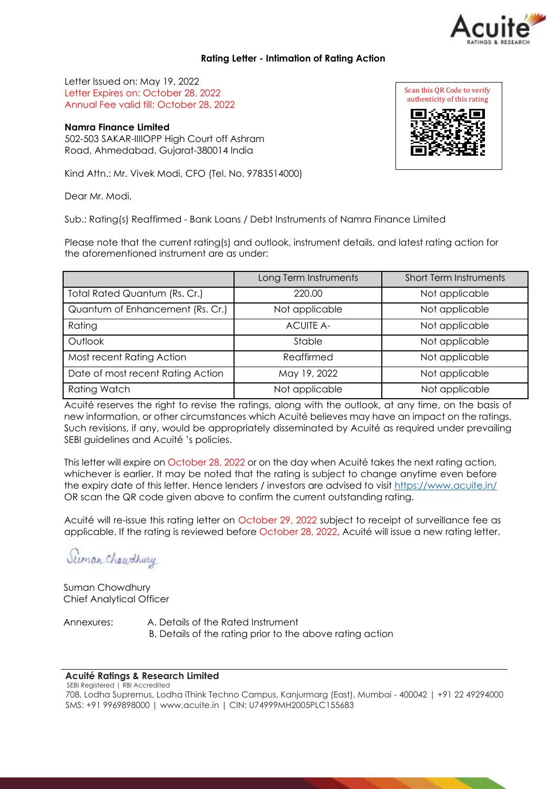# **Rating Letter - Intimation of Rating Action**

Letter Issued on: May 19, 2022 Letter Expires on: October 28, 2022 Annual Fee valid till: October 28, 2022

**Namra Finance Limited** 502-503 SAKAR-IIIIOPP High Court off Ashram Road, Ahmedabad. Gujarat-380014 India

Kind Attn.: Mr. Vivek Modi, CFO (Tel. No. 9783514000)

Dear Mr. Modi,

Sub.: Rating(s) Reaffirmed - Bank Loans / Debt Instruments of Namra Finance Limited

Please note that the current rating(s) and outlook, instrument details, and latest rating action for the aforementioned instrument are as under:

|                                   | Long Term Instruments | <b>Short Term Instruments</b> |
|-----------------------------------|-----------------------|-------------------------------|
| Total Rated Quantum (Rs. Cr.)     | 220.00                | Not applicable                |
| Quantum of Enhancement (Rs. Cr.)  | Not applicable        | Not applicable                |
| Rating                            | <b>ACUITE A-</b>      | Not applicable                |
| Outlook                           | Stable                | Not applicable                |
| Most recent Rating Action         | Reaffirmed            | Not applicable                |
| Date of most recent Rating Action | May 19, 2022          | Not applicable                |
| <b>Rating Watch</b>               | Not applicable        | Not applicable                |

Acuité reserves the right to revise the ratings, along with the outlook, at any time, on the basis of new information, or other circumstances which Acuité believes may have an impact on the ratings. Such revisions, if any, would be appropriately disseminated by Acuité as required under prevailing SEBI guidelines and Acuité 's policies.

This letter will expire on October 28, 2022 or on the day when Acuité takes the next rating action, whichever is earlier. It may be noted that the rating is subject to change anytime even before the expiry date of this letter. Hence lenders / investors are advised to visit [https://www.acuite.in/](http://www.acuite.in/) OR scan the QR code given above to confirm the current outstanding rating.

Acuité will re-issue this rating letter on October 29, 2022 subject to receipt of surveillance fee as applicable. If the rating is reviewed before October 28, 2022, Acuité will issue a new rating letter.

Suman Chaudhury

Suman Chowdhury Chief Analytical Officer

Annexures: A. Details of the Rated Instrument B. Details of the rating prior to the above rating action

### **Acuité Ratings & Research Limited**

 SEBI Registered | RBI Accredited 708, Lodha Supremus, Lodha iThink Techno Campus, Kanjurmarg (East), Mumbai - 400042 | +91 22 49294000 SMS: +91 9969898000 | [www.acuite.in |](http://www.acuite.in/) CIN: U74999MH2005PLC155683



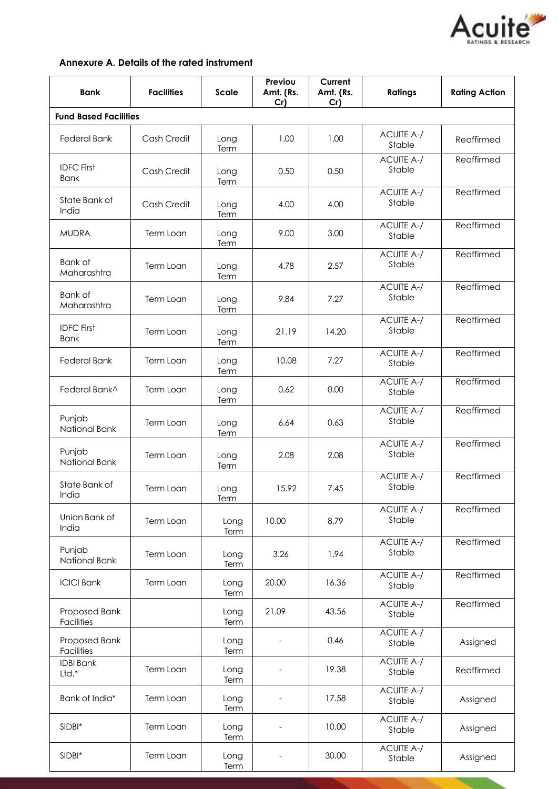

# **Annexure A. Details of the rated instrument**

| <b>Bank</b>                      | <b>Facilities</b> | <b>Scale</b> | Previou<br>Amt. (Rs.<br>Cr) | Current<br>Amt. (Rs.<br>Cr) | <b>Ratings</b>              | <b>Rating Action</b> |
|----------------------------------|-------------------|--------------|-----------------------------|-----------------------------|-----------------------------|----------------------|
| <b>Fund Based Facilities</b>     |                   |              |                             |                             |                             |                      |
| <b>Federal Bank</b>              | Cash Credit       | Long<br>Term | 1.00                        | 1.00                        | <b>ACUITE A-/</b><br>Stable | Reaffirmed           |
| <b>IDFC First</b><br><b>Bank</b> | Cash Credit       | Long<br>Term | 0.50                        | 0.50                        | <b>ACUITE A-/</b><br>Stable | Reaffirmed           |
| State Bank of<br>India           | Cash Credit       | Long<br>Term | 4.00                        | 4.00                        | <b>ACUITE A-/</b><br>Stable | Reaffirmed           |
| <b>MUDRA</b>                     | Term Loan         | Long<br>Term | 9.00                        | 3.00                        | <b>ACUITE A-/</b><br>Stable | Reaffirmed           |
| Bank of<br>Maharashtra           | Term Loan         | Long<br>Term | 4.78                        | 2.57                        | <b>ACUITE A-/</b><br>Stable | Reaffirmed           |
| <b>Bank of</b><br>Maharashtra    | Term Loan         | Long<br>Term | 9.84                        | 7.27                        | <b>ACUITE A-/</b><br>Stable | Reaffirmed           |
| <b>IDFC First</b><br><b>Bank</b> | Term Loan         | Long<br>Term | 21.19                       | 14.20                       | <b>ACUITE A-/</b><br>Stable | Reaffirmed           |
| <b>Federal Bank</b>              | Term Loan         | Long<br>Term | 10.08                       | 7.27                        | <b>ACUITE A-/</b><br>Stable | Reaffirmed           |
| Federal Bank^                    | Term Loan         | Long<br>Term | 0.62                        | 0.00                        | <b>ACUITE A-/</b><br>Stable | Reaffirmed           |
| Punjab<br>National Bank          | Term Loan         | Long<br>Term | 6.64                        | 0.63                        | <b>ACUITE A-/</b><br>Stable | Reaffirmed           |
| Punjab<br>National Bank          | Term Loan         | Long<br>Term | 2.08                        | 2.08                        | <b>ACUITE A-/</b><br>Stable | Reaffirmed           |
| State Bank of<br>India           | Term Loan         | Long<br>Term | 15.92                       | 7.45                        | <b>ACUITE A-/</b><br>Stable | Reaffirmed           |
| Union Bank of<br>India           | Term Loan         | Long<br>Term | 10.00                       | 8.79                        | <b>ACUITE A-/</b><br>Stable | Reaffirmed           |
| Punjab<br>National Bank          | Term Loan         | Long<br>Term | 3.26                        | 1.94                        | <b>ACUITE A-/</b><br>Stable | Reaffirmed           |
| <b>ICICI Bank</b>                | Term Loan         | Long<br>Term | 20.00                       | 16.36                       | <b>ACUITE A-/</b><br>Stable | Reaffirmed           |
| Proposed Bank<br>Facilities      |                   | Long<br>Term | 21.09                       | 43.56                       | <b>ACUITE A-/</b><br>Stable | Reaffirmed           |
| Proposed Bank<br>Facilities      |                   | Long<br>Term |                             | 0.46                        | <b>ACUITE A-/</b><br>Stable | Assigned             |
| <b>IDBI Bank</b><br>Ltd.*        | Term Loan         | Long<br>Term |                             | 19.38                       | <b>ACUITE A-/</b><br>Stable | Reaffirmed           |
| Bank of India*                   | Term Loan         | Long<br>Term |                             | 17.58                       | <b>ACUITE A-/</b><br>Stable | Assigned             |
| SIDBI*                           | Term Loan         | Long<br>Term | $\overline{a}$              | 10.00                       | <b>ACUITE A-/</b><br>Stable | Assigned             |
| SIDBI*                           | Term Loan         | Long<br>Term |                             | 30.00                       | <b>ACUITE A-/</b><br>Stable | Assigned             |